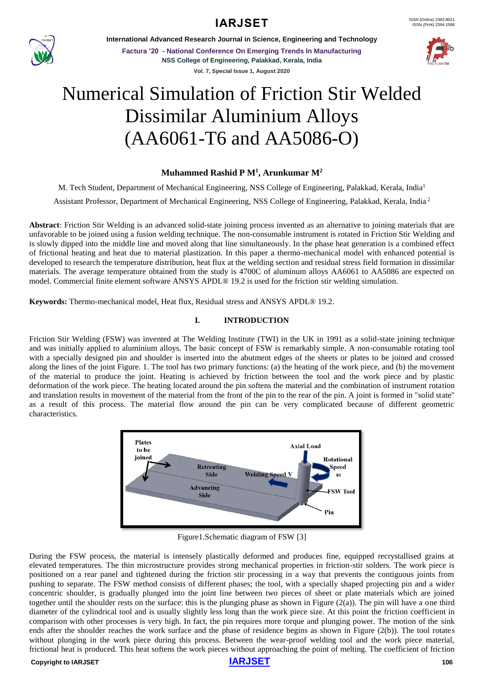**IARJSET** ISSN (Online) 2393-8021



**International Advanced Research Journal in Science, Engineering and Technology**

**Factura '20 - National Conference On Emerging Trends In Manufacturing NSS College of Engineering, Palakkad, Kerala, India Vol. 7, Special Issue 1, August 2020**



# Numerical Simulation of Friction Stir Welded Dissimilar Aluminium Alloys (AA6061-T6 and AA5086-O)

# **Muhammed Rashid P M<sup>1</sup> , Arunkumar M<sup>2</sup>**

M. Tech Student, Department of Mechanical Engineering, NSS College of Engineering, Palakkad, Kerala, India<sup>1</sup>

Assistant Professor, Department of Mechanical Engineering, NSS College of Engineering, Palakkad, Kerala, India <sup>2</sup>

**Abstract**: Friction Stir Welding is an advanced solid-state joining process invented as an alternative to joining materials that are unfavorable to be joined using a fusion welding technique. The non-consumable instrument is rotated in Friction Stir Welding and is slowly dipped into the middle line and moved along that line simultaneously. In the phase heat generation is a combined effect of frictional heating and heat due to material plastization. In this paper a thermo-mechanical model with enhanced potential is developed to research the temperature distribution, heat flux at the welding section and residual stress field formation in dissimilar materials. The average temperature obtained from the study is 4700C of aluminum alloys AA6061 to AA5086 are expected on model. Commercial finite element software ANSYS APDL® 19.2 is used for the friction stir welding simulation.

**Keywords:** Thermo-mechanical model, Heat flux, Residual stress and ANSYS APDL® 19.2.

# **I. INTRODUCTION**

Friction Stir Welding (FSW) was invented at The Welding Institute (TWI) in the UK in 1991 as a solid-state joining technique and was initially applied to aluminium alloys. The basic concept of FSW is remarkably simple. A non-consumable rotating tool with a specially designed pin and shoulder is inserted into the abutment edges of the sheets or plates to be joined and crossed along the lines of the joint Figure. 1. The tool has two primary functions: (a) the heating of the work piece, and (b) the movement of the material to produce the joint. Heating is achieved by friction between the tool and the work piece and by plastic deformation of the work piece. The heating located around the pin softens the material and the combination of instrument rotation and translation results in movement of the material from the front of the pin to the rear of the pin. A joint is formed in "solid state" as a result of this process. The material flow around the pin can be very complicated because of different geometric characteristics.



Figure1.Schematic diagram of FSW [3]

During the FSW process, the material is intensely plastically deformed and produces fine, equipped recrystallised grains at elevated temperatures. The thin microstructure provides strong mechanical properties in friction-stir solders. The work piece is positioned on a rear panel and tightened during the friction stir processing in a way that prevents the contiguous joints from pushing to separate. The FSW method consists of different phases; the tool, with a specially shaped projecting pin and a wider concentric shoulder, is gradually plunged into the joint line between two pieces of sheet or plate materials which are joined together until the shoulder rests on the surface: this is the plunging phase as shown in Figure  $(2(a))$ . The pin will have a one third diameter of the cylindrical tool and is usually slightly less long than the work piece size. At this point the friction coefficient in comparison with other processes is very high. In fact, the pin requires more torque and plunging power. The motion of the sink ends after the shoulder reaches the work surface and the phase of residence begins as shown in Figure (2(b)). The tool rotates without plunging in the work piece during this process. Between the wear-proof welding tool and the work piece material, frictional heat is produced. This heat softens the work pieces without approaching the point of melting. The coefficient of friction

#### **Copyright to [IARJSET](https://iarjset.com/)** 106

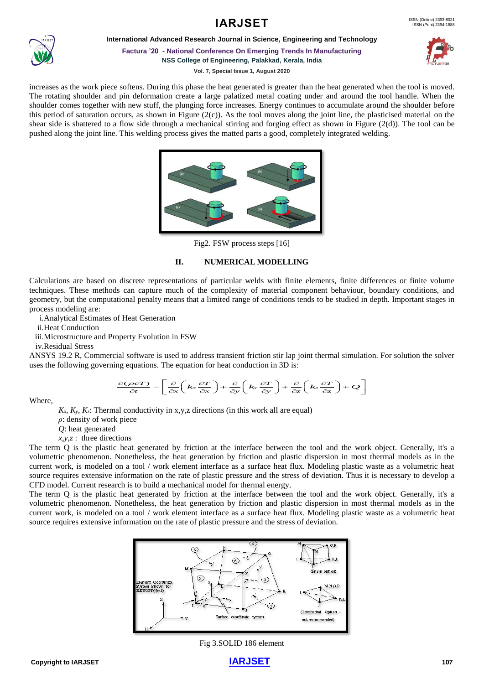



**International Advanced Research Journal in Science, Engineering and Technology**

**Factura '20 - National Conference On Emerging Trends In Manufacturing NSS College of Engineering, Palakkad, Kerala, India**



**Vol. 7, Special Issue 1, August 2020**

increases as the work piece softens. During this phase the heat generated is greater than the heat generated when the tool is moved. The rotating shoulder and pin deformation create a large palatized metal coating under and around the tool handle. When the shoulder comes together with new stuff, the plunging force increases. Energy continues to accumulate around the shoulder before this period of saturation occurs, as shown in Figure (2(c)). As the tool moves along the joint line, the plasticised material on the shear side is shattered to a flow side through a mechanical stirring and forging effect as shown in Figure (2(d)). The tool can be pushed along the joint line. This welding process gives the matted parts a good, completely integrated welding.



Fig2. FSW process steps [16]

# **II. NUMERICAL MODELLING**

Calculations are based on discrete representations of particular welds with finite elements, finite differences or finite volume techniques. These methods can capture much of the complexity of material component behaviour, boundary conditions, and geometry, but the computational penalty means that a limited range of conditions tends to be studied in depth. Important stages in process modeling are:

i.Analytical Estimates of Heat Generation

ii.Heat Conduction

iii.Microstructure and Property Evolution in FSW

iv.Residual Stress

ANSYS 19.2 R, Commercial software is used to address transient friction stir lap joint thermal simulation. For solution the solver uses the following governing equations. The equation for heat conduction in 3D is:<br>  $\frac{\partial (\$ Example 19.2 K, Commercial software is used to address transfer inction sur tap form them<br>uses the following governing equations. The equation for heat conduction in 3D is:<br> $\frac{\partial (\mathcal{L}e^T)}{\partial t} = \left[ \frac{\partial}{\partial x} \left( k_x \frac{\partial T}{\partial x} \$ 

and software is used to address transient friction stir lap joint thermal simulation

\nand equations. The equation for heat conduction in 3D is:

\n
$$
\frac{\partial (\rho cT)}{\partial t} = \left[ \frac{\partial}{\partial x} \left( k_x \frac{\partial T}{\partial x} \right) + \frac{\partial}{\partial y} \left( k_y \frac{\partial T}{\partial y} \right) + \frac{\partial}{\partial z} \left( k_z \frac{\partial T}{\partial z} \right) + \mathcal{Q} \right]
$$

Where,

 $K_x$ ,  $K_y$ ,  $K_z$ : Thermal conductivity in x,y,z directions (in this work all are equal)

*ρ*: density of work piece

*Q*: heat generated

*x,y,z* : three directions

The term Q is the plastic heat generated by friction at the interface between the tool and the work object. Generally, it's a volumetric phenomenon. Nonetheless, the heat generation by friction and plastic dispersion in most thermal models as in the current work, is modeled on a tool / work element interface as a surface heat flux. Modeling plastic waste as a volumetric heat source requires extensive information on the rate of plastic pressure and the stress of deviation. Thus it is necessary to develop a CFD model. Current research is to build a mechanical model for thermal energy.

The term Q is the plastic heat generated by friction at the interface between the tool and the work object. Generally, it's a volumetric phenomenon. Nonetheless, the heat generation by friction and plastic dispersion in most thermal models as in the current work, is modeled on a tool / work element interface as a surface heat flux. Modeling plastic waste as a volumetric heat source requires extensive information on the rate of plastic pressure and the stress of deviation.



Fig 3.SOLID 186 element

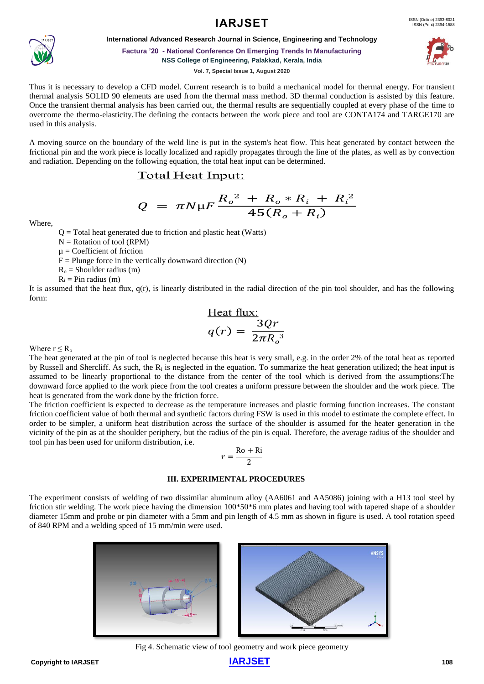# **IARJSET** ISSN (Online) 2393-8021



**International Advanced Research Journal in Science, Engineering and Technology**

#### **Factura '20 - National Conference On Emerging Trends In Manufacturing NSS College of Engineering, Palakkad, Kerala, India**

**Vol. 7, Special Issue 1, August 2020**

Thus it is necessary to develop a CFD model. Current research is to build a mechanical model for thermal energy. For transient thermal analysis SOLID 90 elements are used from the thermal mass method. 3D thermal conduction is assisted by this feature. Once the transient thermal analysis has been carried out, the thermal results are sequentially coupled at every phase of the time to overcome the thermo-elasticity.The defining the contacts between the work piece and tool are CONTA174 and TARGE170 are used in this analysis.

A moving source on the boundary of the weld line is put in the system's heat flow. This heat generated by contact between the frictional pin and the work piece is locally localized and rapidly propagates through the line of the plates, as well as by convection and radiation. Depending on the following equation, the total heat input can be determined.

# Total Heat Input:

$$
Q = \pi N \mu F \frac{R_o^2 + R_o * R_i + R_i^2}{45(R_o + R_i)}
$$

Where,

 $Q = \text{Total heat generated due to friction and plastic heat (Watts)}$ 

- $N =$  Rotation of tool (RPM)
- $\mu$  = Coefficient of friction
- $F =$  Plunge force in the vertically downward direction  $(N)$
- $R<sub>o</sub>$  = Shoulder radius (m)
- $R_i$  = Pin radius (m)

It is assumed that the heat flux,  $q(r)$ , is linearly distributed in the radial direction of the pin tool shoulder, and has the following form:

$$
\frac{\text{Heat flux:}}{q(r) = \frac{3Qr}{2\pi R_o^3}}
$$

Where  $r \le R_0$ 

The heat generated at the pin of tool is neglected because this heat is very small, e.g. in the order 2% of the total heat as reported by Russell and Shercliff. As such, the  $R_i$  is neglected in the equation. To summarize the heat generation utilized; the heat input is assumed to be linearly proportional to the distance from the center of the tool which is derived from the assumptions:The downward force applied to the work piece from the tool creates a uniform pressure between the shoulder and the work piece. The heat is generated from the work done by the friction force.

The friction coefficient is expected to decrease as the temperature increases and plastic forming function increases. The constant friction coefficient value of both thermal and synthetic factors during FSW is used in this model to estimate the complete effect. In order to be simpler, a uniform heat distribution across the surface of the shoulder is assumed for the heater generation in the vicinity of the pin as at the shoulder periphery, but the radius of the pin is equal. Therefore, the average radius of the shoulder and tool pin has been used for uniform distribution, i.e.

$$
r = \frac{\text{Ro} + \text{Ri}}{2}
$$

#### **III. EXPERIMENTAL PROCEDURES**

The experiment consists of welding of two dissimilar aluminum alloy (AA6061 and AA5086) joining with a H13 tool steel by friction stir welding. The work piece having the dimension 100\*50\*6 mm plates and having tool with tapered shape of a shoulder diameter 15mm and probe or pin diameter with a 5mm and pin length of 4.5 mm as shown in figure is used. A tool rotation speed of 840 RPM and a welding speed of 15 mm/min were used.





Fig 4. Schematic view of tool geometry and work piece geometry

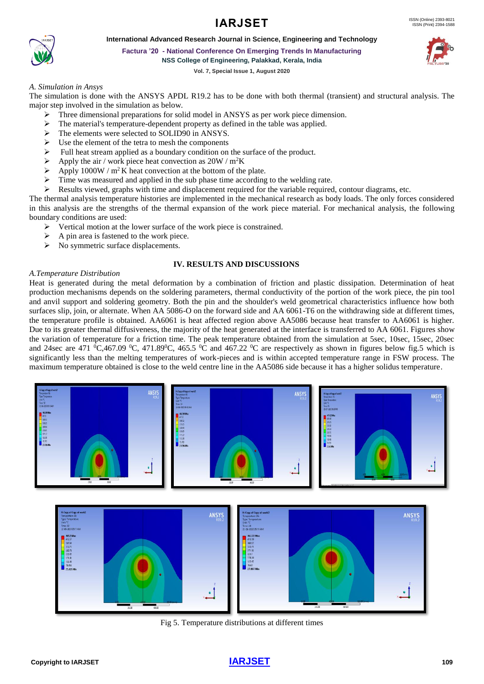# **IARJSET** ISSN (Online) 2393-8021



**International Advanced Research Journal in Science, Engineering and Technology**

**Factura '20 - National Conference On Emerging Trends In Manufacturing NSS College of Engineering, Palakkad, Kerala, India**

**Vol. 7, Special Issue 1, August 2020**

# *A. Simulation in Ansys*

The simulation is done with the ANSYS APDL R19.2 has to be done with both thermal (transient) and structural analysis. The major step involved in the simulation as below.

- ➢ Three dimensional preparations for solid model in ANSYS as per work piece dimension.
- ➢ The material's temperature-dependent property as defined in the table was applied.
- ➢ The elements were selected to SOLID90 in ANSYS.
- ➢ Use the element of the tetra to mesh the components
- ➢ Full heat stream applied as a boundary condition on the surface of the product.
- $\triangleright$  Apply the air / work piece heat convection as 20W / m<sup>2</sup>K
- $\triangleright$  Apply 1000W / m<sup>2</sup>K heat convection at the bottom of the plate.
- $\triangleright$  Time was measured and applied in the sub phase time according to the welding rate.
- ➢ Results viewed, graphs with time and displacement required for the variable required, contour diagrams, etc.

The thermal analysis temperature histories are implemented in the mechanical research as body loads. The only forces considered in this analysis are the strengths of the thermal expansion of the work piece material. For mechanical analysis, the following boundary conditions are used:

- ➢ Vertical motion at the lower surface of the work piece is constrained.
- ➢ A pin area is fastened to the work piece.
- $\triangleright$  No symmetric surface displacements.

#### **IV. RESULTS AND DISCUSSIONS**

#### *A.Temperature Distribution*

Heat is generated during the metal deformation by a combination of friction and plastic dissipation. Determination of heat production mechanisms depends on the soldering parameters, thermal conductivity of the portion of the work piece, the pin tool and anvil support and soldering geometry. Both the pin and the shoulder's weld geometrical characteristics influence how both surfaces slip, join, or alternate. When AA 5086-O on the forward side and AA 6061-T6 on the withdrawing side at different times, the temperature profile is obtained. AA6061 is heat affected region above AA5086 because heat transfer to AA6061 is higher. Due to its greater thermal diffusiveness, the majority of the heat generated at the interface is transferred to AA 6061. Figures show the variation of temperature for a friction time. The peak temperature obtained from the simulation at 5sec, 10sec, 15sec, 20sec and 24sec are 471  $^0C$ ,467.09  $^0C$ , 471.89 $^0C$ , 465.5  $^0C$  and 467.22  $^0C$  are respectively as shown in figures below fig.5 which is significantly less than the melting temperatures of work-pieces and is within accepted temperature range in FSW process. The maximum temperature obtained is close to the weld centre line in the AA5086 side because it has a higher solidus temperature.



Fig 5. Temperature distributions at different times

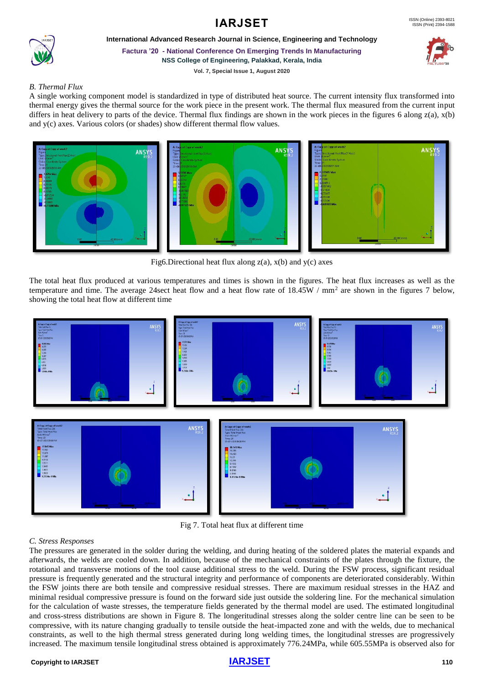



**International Advanced Research Journal in Science, Engineering and Technology**

**Factura '20 - National Conference On Emerging Trends In Manufacturing**

**NSS College of Engineering, Palakkad, Kerala, India**



**Vol. 7, Special Issue 1, August 2020**

# *B. Thermal Flux*

A single working component model is standardized in type of distributed heat source. The current intensity flux transformed into thermal energy gives the thermal source for the work piece in the present work. The thermal flux measured from the current input differs in heat delivery to parts of the device. Thermal flux findings are shown in the work pieces in the figures 6 along z(a), x(b) and y(c) axes. Various colors (or shades) show different thermal flow values.



Fig6.Directional heat flux along  $z(a)$ ,  $x(b)$  and  $y(c)$  axes

The total heat flux produced at various temperatures and times is shown in the figures. The heat flux increases as well as the temperature and time. The average 24 sect heat flow and a heat flow rate of 18.45W / mm<sup>2</sup> are shown in the figures 7 below, showing the total heat flow at different time



Fig 7. Total heat flux at different time

# *C. Stress Responses*

The pressures are generated in the solder during the welding, and during heating of the soldered plates the material expands and afterwards, the welds are cooled down. In addition, because of the mechanical constraints of the plates through the fixture, the rotational and transverse motions of the tool cause additional stress to the weld. During the FSW process, significant residual pressure is frequently generated and the structural integrity and performance of components are deteriorated considerably. Within the FSW joints there are both tensile and compressive residual stresses. There are maximum residual stresses in the HAZ and minimal residual compressive pressure is found on the forward side just outside the soldering line. For the mechanical simulation for the calculation of waste stresses, the temperature fields generated by the thermal model are used. The estimated longitudinal and cross-stress distributions are shown in Figure 8. The longeritudinal stresses along the solder centre line can be seen to be compressive, with its nature changing gradually to tensile outside the heat-impacted zone and with the welds, due to mechanical constraints, as well to the high thermal stress generated during long welding times, the longitudinal stresses are progressively increased. The maximum tensile longitudinal stress obtained is approximately 776.24MPa, while 605.55MPa is observed also for

# **Copyright to [IARJSET](https://iarjset.com/)** 110